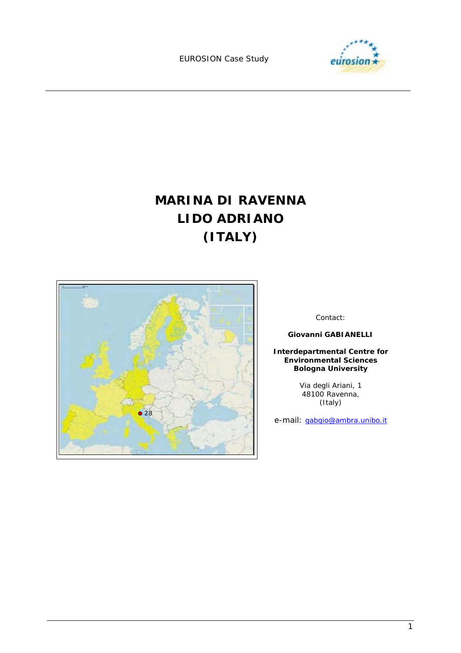

# **MARINA DI RAVENNA LIDO ADRIANO (ITALY)**



Contact:

**Giovanni GABIANELLI** 

**Interdepartmental Centre for Environmental Sciences Bologna University**

> Via degli Ariani, 1 48100 Ravenna, (Italy)

e-mail: gabgio@ambra.unibo.it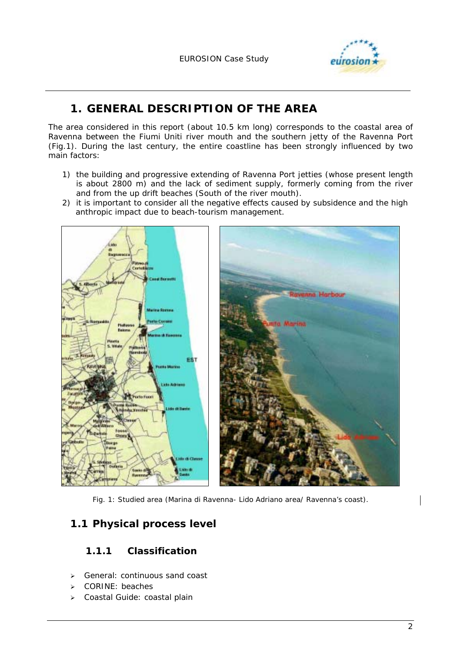

# **1. GENERAL DESCRIPTION OF THE AREA**

The area considered in this report (about 10.5 km long) corresponds to the coastal area of Ravenna between the Fiumi Uniti river mouth and the southern jetty of the Ravenna Port (Fig.1). During the last century, the entire coastline has been strongly influenced by two main factors:

- 1) the building and progressive extending of Ravenna Port jetties (whose present length is about 2800 m) and the lack of sediment supply, formerly coming from the river and from the up drift beaches (South of the river mouth).
- 2) it is important to consider all the negative effects caused by subsidence and the high anthropic impact due to beach-tourism management.



*Fig. 1: Studied area (Marina di Ravenna- Lido Adriano area/ Ravenna's coast).* 

# **1.1 Physical process level**

### **1.1.1 Classification**

- > General: continuous sand coast
- > CORINE: beaches
- Coastal Guide: coastal plain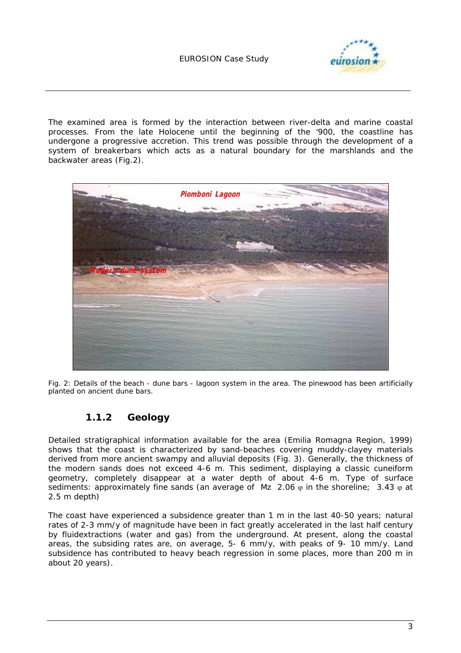

The examined area is formed by the interaction between river-delta and marine coastal processes. From the late Holocene until the beginning of the '900, the coastline has undergone a progressive accretion. This trend was possible through the development of a system of breakerbars which acts as a natural boundary for the marshlands and the backwater areas (Fig.2).



*Fig. 2: Details of the beach - dune bars - lagoon system in the area. The pinewood has been artificially planted on ancient dune bars.* 

### **1.1.2 Geology**

Detailed stratigraphical information available for the area (Emilia Romagna Region, 1999) shows that the coast is characterized by sand-beaches covering muddy-clayey materials derived from more ancient swampy and alluvial deposits (Fig. 3). Generally, the thickness of the modern sands does not exceed 4-6 m. This sediment, displaying a classic cuneiform geometry, completely disappear at a water depth of about 4-6 m. Type of surface sediments: approximately fine sands (an average of Mz 2.06  $\varphi$  in the shoreline; 3.43  $\varphi$  at 2.5 m depth)

The coast have experienced a subsidence greater than 1 m in the last 40-50 years; natural rates of 2-3 mm/y of magnitude have been in fact greatly accelerated in the last half century by fluidextractions (water and gas) from the underground. At present, along the coastal areas, the subsiding rates are, on average, 5- 6 mm/y, with peaks of 9- 10 mm/y. Land subsidence has contributed to heavy beach regression in some places, more than 200 m in about 20 years).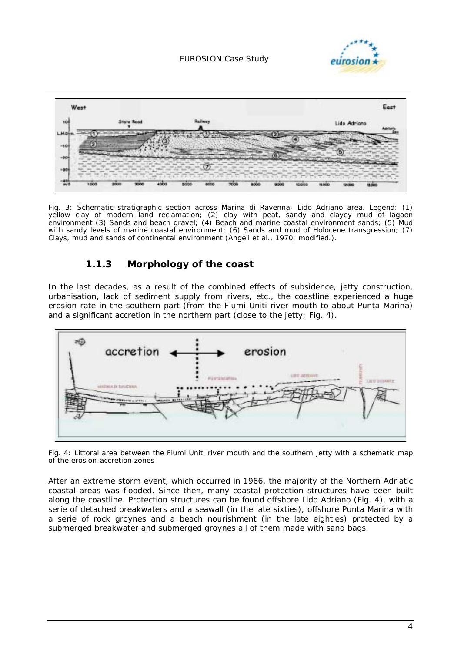



*Fig. 3: Schematic stratigraphic section across Marina di Ravenna- Lido Adriano area. Legend: (1) yellow clay of modern land reclamation; (2) clay with peat, sandy and clayey mud of lagoon environment (3) Sands and beach gravel; (4) Beach and marine coastal environment sands; (5) Mud with sandy levels of marine coastal environment; (6) Sands and mud of Holocene transgression; (7) Clays, mud and sands of continental environment (Angeli et al., 1970; modified.).* 

### **1.1.3 Morphology of the coast**

In the last decades, as a result of the combined effects of subsidence, jetty construction, urbanisation, lack of sediment supply from rivers, etc., the coastline experienced a huge erosion rate in the southern part (from the Fiumi Uniti river mouth to about Punta Marina) and a significant accretion in the northern part (close to the jetty; Fig. 4).



*Fig. 4: Littoral area between the Fiumi Uniti river mouth and the southern jetty with a schematic map of the erosion-accretion zones* 

After an extreme storm event, which occurred in 1966, the majority of the Northern Adriatic coastal areas was flooded. Since then, many coastal protection structures have been built along the coastline. Protection structures can be found offshore Lido Adriano (Fig. 4), with a serie of detached breakwaters and a seawall (in the late sixties), offshore Punta Marina with a serie of rock groynes and a beach nourishment (in the late eighties) protected by a submerged breakwater and submerged groynes all of them made with sand bags.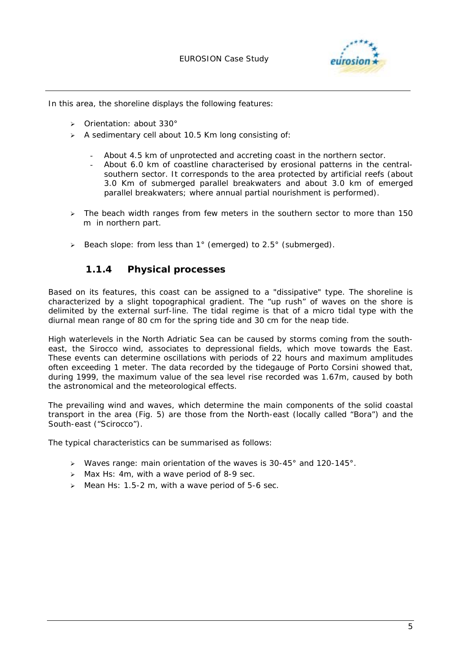

In this area, the shoreline displays the following features:

- > Orientation: about 330°
- $\triangleright$  A sedimentary cell about 10.5 Km long consisting of:
	- About 4.5 km of unprotected and accreting coast in the northern sector.
	- About 6.0 km of coastline characterised by erosional patterns in the centralsouthern sector. It corresponds to the area protected by artificial reefs (about 3.0 Km of submerged parallel breakwaters and about 3.0 km of emerged parallel breakwaters; where annual partial nourishment is performed).
- $\geq$  The beach width ranges from few meters in the southern sector to more than 150 m in northern part.
- > Beach slope: from less than 1° (emerged) to 2.5° (submerged).

#### **1.1.4 Physical processes**

Based on its features, this coast can be assigned to a "dissipative" type. The shoreline is characterized by a slight topographical gradient. The "up rush" of waves on the shore is delimited by the external surf-line. The tidal regime is that of a micro tidal type with the diurnal mean range of 80 cm for the spring tide and 30 cm for the neap tide.

High waterlevels in the North Adriatic Sea can be caused by storms coming from the southeast, the Sirocco wind, associates to depressional fields, which move towards the East. These events can determine oscillations with periods of 22 hours and maximum amplitudes often exceeding 1 meter. The data recorded by the tidegauge of Porto Corsini showed that, during 1999, the maximum value of the sea level rise recorded was 1.67m, caused by both the astronomical and the meteorological effects.

The prevailing wind and waves, which determine the main components of the solid coastal transport in the area (Fig. 5) are those from the North-east (locally called "Bora") and the South-east ("Scirocco").

The typical characteristics can be summarised as follows:

- $\geq$  Waves range: main orientation of the waves is 30-45° and 120-145°.
- $\geq$  Max Hs: 4m, with a wave period of 8-9 sec.
- $\geq$  Mean Hs: 1.5-2 m, with a wave period of 5-6 sec.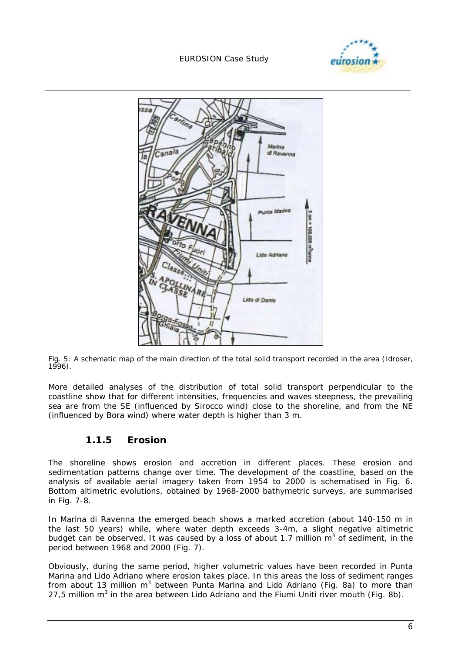



*Fig. 5: A schematic map of the main direction of the total solid transport recorded in the area (Idroser, 1996).* 

More detailed analyses of the distribution of total solid transport perpendicular to the coastline show that for different intensities, frequencies and waves steepness, the prevailing sea are from the SE (influenced by Sirocco wind) close to the shoreline, and from the NE (influenced by Bora wind) where water depth is higher than 3 m.

#### **1.1.5 Erosion**

The shoreline shows erosion and accretion in different places. These erosion and sedimentation patterns change over time. The development of the coastline, based on the analysis of available aerial imagery taken from 1954 to 2000 is schematised in Fig. 6. Bottom altimetric evolutions, obtained by 1968-2000 bathymetric surveys, are summarised in Fig. 7-8.

In Marina di Ravenna the emerged beach shows a marked accretion (about 140-150 m in the last 50 years) while, where water depth exceeds 3-4m, a slight negative altimetric budget can be observed. It was caused by a loss of about 1.7 million  $m^3$  of sediment, in the period between 1968 and 2000 (Fig. 7).

Obviously, during the same period, higher volumetric values have been recorded in Punta Marina and Lido Adriano where erosion takes place. In this areas the loss of sediment ranges from about 13 million m<sup>3</sup> between Punta Marina and Lido Adriano (Fig. 8a) to more than 27,5 million  $m^3$  in the area between Lido Adriano and the Fiumi Uniti river mouth (Fig. 8b).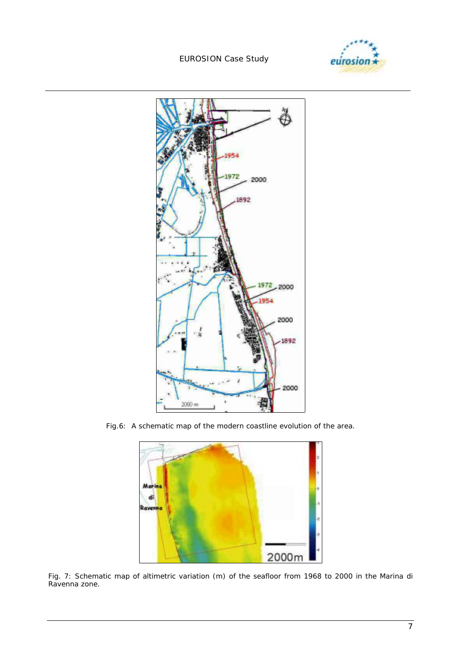





*Fig.6: A schematic map of the modern coastline evolution of the area.* 



*Fig. 7: Schematic map of altimetric variation (m) of the seafloor from 1968 to 2000 in the Marina di Ravenna zone.*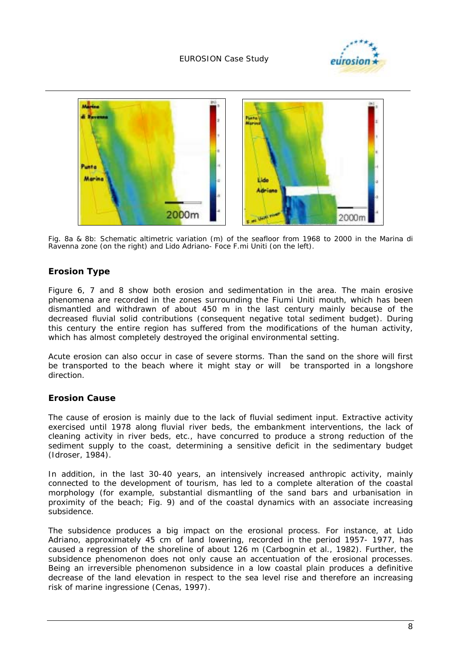



*Fig. 8a & 8b: Schematic altimetric variation (m) of the seafloor from 1968 to 2000 in the Marina di Ravenna zone (on the right) and Lido Adriano- Foce F.mi Uniti (on the left).* 

#### **Erosion Type**

Figure 6, 7 and 8 show both erosion and sedimentation in the area. The main erosive phenomena are recorded in the zones surrounding the Fiumi Uniti mouth, which has been dismantled and withdrawn of about 450 m in the last century mainly because of the decreased fluvial solid contributions (consequent negative total sediment budget). During this century the entire region has suffered from the modifications of the human activity, which has almost completely destroyed the original environmental setting.

Acute erosion can also occur in case of severe storms. Than the sand on the shore will first be transported to the beach where it might stay or will be transported in a longshore direction.

#### **Erosion Cause**

The cause of erosion is mainly due to the lack of fluvial sediment input. Extractive activity exercised until 1978 along fluvial river beds, the embankment interventions, the lack of cleaning activity in river beds, etc., have concurred to produce a strong reduction of the sediment supply to the coast, determining a sensitive deficit in the sedimentary budget (Idroser, 1984).

In addition, in the last 30-40 years, an intensively increased anthropic activity, mainly connected to the development of tourism, has led to a complete alteration of the coastal morphology (for example, substantial dismantling of the sand bars and urbanisation in proximity of the beach; Fig. 9) and of the coastal dynamics with an associate increasing subsidence.

The subsidence produces a big impact on the erosional process. For instance, at Lido Adriano, approximately 45 cm of land lowering, recorded in the period 1957- 1977, has caused a regression of the shoreline of about 126 m (Carbognin et al., 1982). Further, the subsidence phenomenon does not only cause an accentuation of the erosional processes. Being an irreversible phenomenon subsidence in a low coastal plain produces a definitive decrease of the land elevation in respect to the sea level rise and therefore an increasing risk of marine ingressione (Cenas, 1997).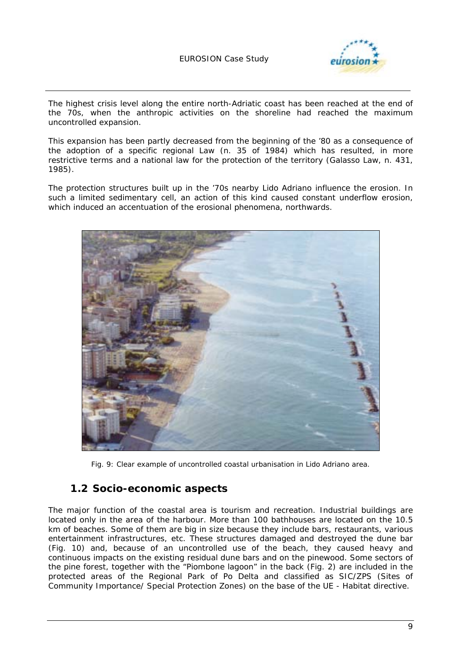

The highest crisis level along the entire north-Adriatic coast has been reached at the end of the 70s, when the anthropic activities on the shoreline had reached the maximum uncontrolled expansion.

This expansion has been partly decreased from the beginning of the '80 as a consequence of the adoption of a specific regional Law (n. 35 of 1984) which has resulted, in more restrictive terms and a national law for the protection of the territory (Galasso Law, n. 431, 1985).

The protection structures built up in the '70s nearby Lido Adriano influence the erosion. In such a limited sedimentary cell, an action of this kind caused constant underflow erosion, which induced an accentuation of the erosional phenomena, northwards.



*Fig. 9: Clear example of uncontrolled coastal urbanisation in Lido Adriano area.* 

#### **1.2 Socio-economic aspects**

The major function of the coastal area is tourism and recreation. Industrial buildings are located only in the area of the harbour. More than 100 bathhouses are located on the 10.5 km of beaches. Some of them are big in size because they include bars, restaurants, various entertainment infrastructures, etc. These structures damaged and destroyed the dune bar (Fig. 10) and, because of an uncontrolled use of the beach, they caused heavy and continuous impacts on the existing residual dune bars and on the pinewood. Some sectors of the pine forest, together with the "Piombone lagoon" in the back (Fig. 2) are included in the protected areas of the Regional Park of Po Delta and classified as SIC/ZPS (Sites of Community Importance/ Special Protection Zones) on the base of the UE - Habitat directive.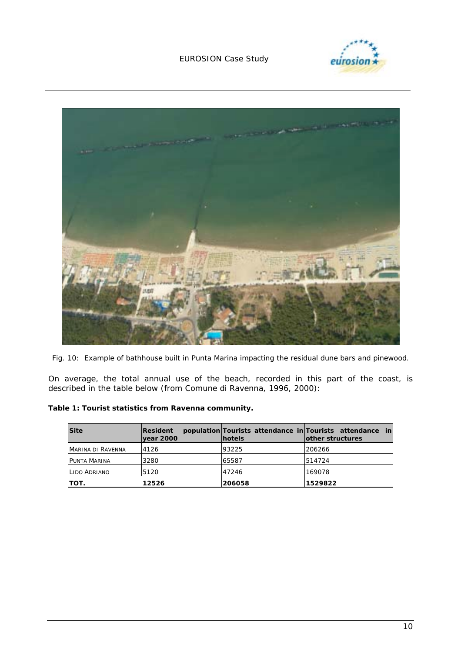



*Fig. 10: Example of bathhouse built in Punta Marina impacting the residual dune bars and pinewood.* 

On average, the total annual use of the beach, recorded in this part of the coast, is described in the table below (from Comune di Ravenna, 1996, 2000):

*Table 1: Tourist statistics from Ravenna community.* 

| <b>Site</b>              | <b>Resident</b><br> year 2000 | <b>hotels</b> | population Tourists attendance in Tourists attendance in<br>lother structures |
|--------------------------|-------------------------------|---------------|-------------------------------------------------------------------------------|
| <b>MARINA DI RAVENNA</b> | 4126                          | 93225         | 206266                                                                        |
| <b>PUNTA MARINA</b>      | 3280                          | 65587         | 514724                                                                        |
| LIDO ADRIANO             | 5120                          | 47246         | 169078                                                                        |
| ΤΟΤ.                     | 12526                         | 206058        | 1529822                                                                       |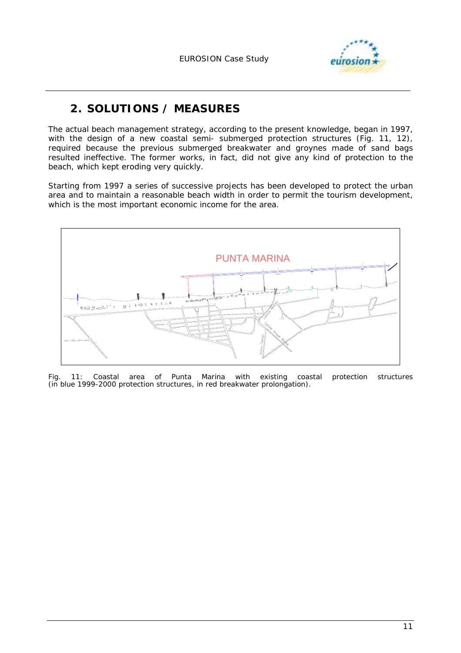

# **2. SOLUTIONS / MEASURES**

The actual beach management strategy, according to the present knowledge, began in 1997, with the design of a new coastal semi- submerged protection structures (Fig. 11, 12), required because the previous submerged breakwater and groynes made of sand bags resulted ineffective. The former works, in fact, did not give any kind of protection to the beach, which kept eroding very quickly.

Starting from 1997 a series of successive projects has been developed to protect the urban area and to maintain a reasonable beach width in order to permit the tourism development, which is the most important economic income for the area.



*Fig. 11: Coastal area of Punta Marina with existing coastal protection structures (in blue 1999-2000 protection structures, in red breakwater prolongation).*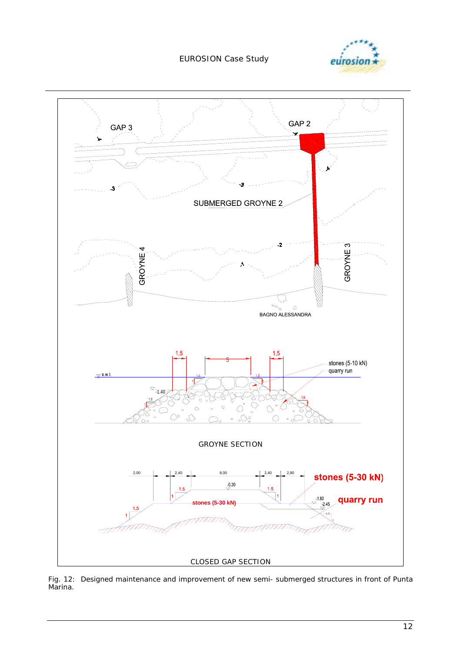



*Fig. 12: Designed maintenance and improvement of new semi- submerged structures in front of Punta Marina.*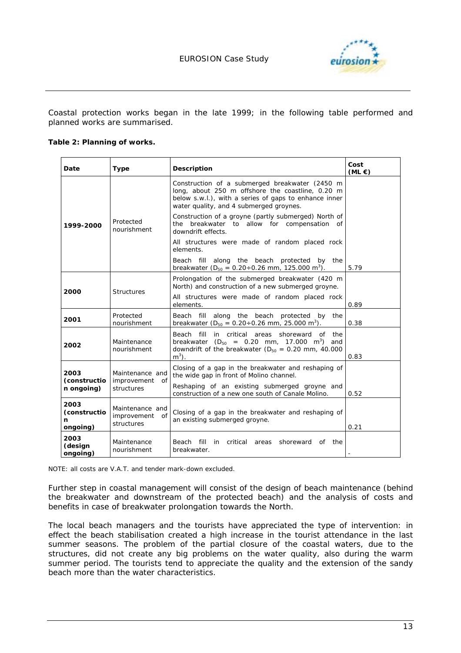

Coastal protection works began in the late 1999; in the following table performed and planned works are summarised.

#### *Table 2: Planning of works.*

| Date                                  | Type                                            | <b>Description</b>                                                                                                                                                                                     | Cost<br>$(ML \in)$ |
|---------------------------------------|-------------------------------------------------|--------------------------------------------------------------------------------------------------------------------------------------------------------------------------------------------------------|--------------------|
| 1999-2000                             | Protected<br>nourishment                        | Construction of a submerged breakwater (2450 m<br>long, about 250 m offshore the coastline, 0.20 m<br>below s.w.l.), with a series of gaps to enhance inner<br>water quality, and 4 submerged groynes. |                    |
|                                       |                                                 | Construction of a groyne (partly submerged) North of<br>the breakwater to allow for compensation of<br>downdrift effects.                                                                              |                    |
|                                       |                                                 | All structures were made of random placed rock<br>elements.                                                                                                                                            |                    |
|                                       |                                                 | along the beach protected<br>Beach fill<br>by the<br>breakwater ( $D_{50} = 0.20 \div 0.26$ mm, 125.000 m <sup>3</sup> ).                                                                              | 5.79               |
| 2000                                  | <b>Structures</b>                               | Prolongation of the submerged breakwater (420 m<br>North) and construction of a new submerged groyne.                                                                                                  |                    |
|                                       |                                                 | All structures were made of random placed rock<br>elements.                                                                                                                                            | 0.89               |
| 2001                                  | Protected<br>nourishment                        | Beach fill along the beach protected by<br>the<br>breakwater ( $D_{50} = 0.20 \div 0.26$ mm, 25.000 m <sup>3</sup> ).                                                                                  | 0.38               |
| 2002                                  | Maintenance<br>nourishment                      | fill<br>in critical areas shoreward of<br>Beach<br>the<br>breakwater ( $D_{50} = 0.20$ mm, 17.000 m <sup>3</sup> ) and<br>downdrift of the breakwater ( $D_{50} = 0.20$ mm, 40.000<br>$m3$ ).          | 0.83               |
| 2003<br>(constructio<br>n ongoing)    | Maintenance and<br>improvement of<br>structures | Closing of a gap in the breakwater and reshaping of<br>the wide gap in front of Molino channel.                                                                                                        |                    |
|                                       |                                                 | Reshaping of an existing submerged groyne and<br>construction of a new one south of Canale Molino.                                                                                                     | 0.52               |
| 2003<br>(constructio<br>n<br>ongoing) | Maintenance and<br>improvement of<br>structures | Closing of a gap in the breakwater and reshaping of<br>an existing submerged groyne.                                                                                                                   | 0.21               |
| 2003<br>(design<br>ongoing)           | Maintenance<br>nourishment                      | Beach fill<br>critical<br>in<br>areas shoreward<br>the<br>of<br>breakwater.                                                                                                                            |                    |

*NOTE: all costs are V.A.T. and tender mark-down excluded.* 

Further step in coastal management will consist of the design of beach maintenance (behind the breakwater and downstream of the protected beach) and the analysis of costs and benefits in case of breakwater prolongation towards the North.

The local beach managers and the tourists have appreciated the type of intervention: in effect the beach stabilisation created a high increase in the tourist attendance in the last summer seasons. The problem of the partial closure of the coastal waters, due to the structures, did not create any big problems on the water quality, also during the warm summer period. The tourists tend to appreciate the quality and the extension of the sandy beach more than the water characteristics.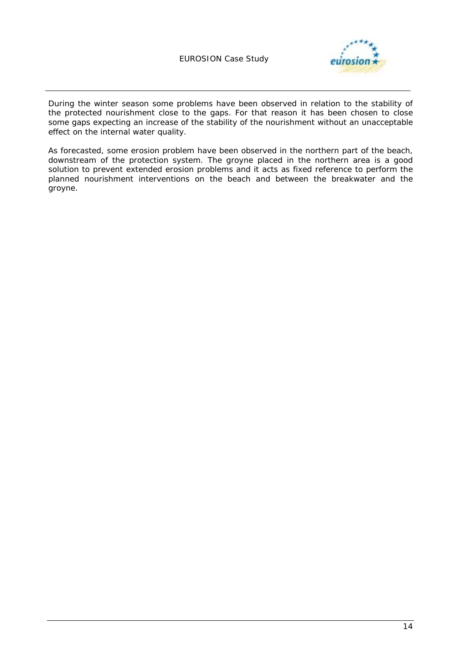

During the winter season some problems have been observed in relation to the stability of the protected nourishment close to the gaps. For that reason it has been chosen to close some gaps expecting an increase of the stability of the nourishment without an unacceptable effect on the internal water quality.

As forecasted, some erosion problem have been observed in the northern part of the beach, downstream of the protection system. The groyne placed in the northern area is a good solution to prevent extended erosion problems and it acts as fixed reference to perform the planned nourishment interventions on the beach and between the breakwater and the groyne.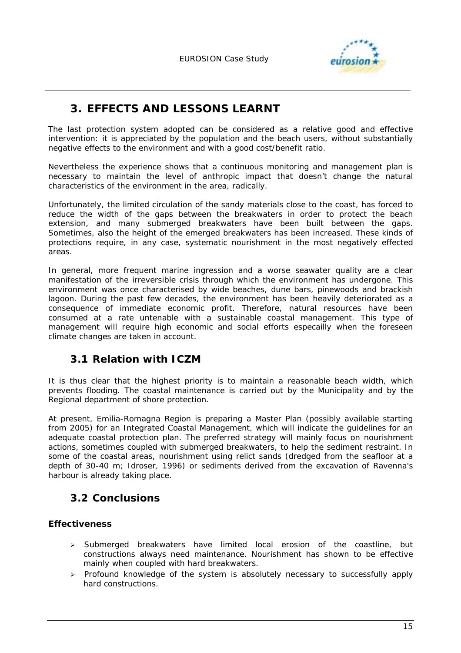

# **3. EFFECTS AND LESSONS LEARNT**

The last protection system adopted can be considered as a relative good and effective intervention: it is appreciated by the population and the beach users, without substantially negative effects to the environment and with a good cost/benefit ratio.

Nevertheless the experience shows that a continuous monitoring and management plan is necessary to maintain the level of anthropic impact that doesn't change the natural characteristics of the environment in the area, radically.

Unfortunately, the limited circulation of the sandy materials close to the coast, has forced to reduce the width of the gaps between the breakwaters in order to protect the beach extension, and many submerged breakwaters have been built between the gaps. Sometimes, also the height of the emerged breakwaters has been increased. These kinds of protections require, in any case, systematic nourishment in the most negatively effected areas.

In general, more frequent marine ingression and a worse seawater quality are a clear manifestation of the irreversible crisis through which the environment has undergone. This environment was once characterised by wide beaches, dune bars, pinewoods and brackish lagoon. During the past few decades, the environment has been heavily deteriorated as a consequence of immediate economic profit. Therefore, natural resources have been consumed at a rate untenable with a sustainable coastal management. This type of management will require high economic and social efforts especailly when the foreseen climate changes are taken in account.

### **3.1 Relation with ICZM**

It is thus clear that the highest priority is to maintain a reasonable beach width, which prevents flooding. The coastal maintenance is carried out by the Municipality and by the Regional department of shore protection.

At present, Emilia-Romagna Region is preparing a Master Plan (possibly available starting from 2005) for an Integrated Coastal Management, which will indicate the guidelines for an adequate coastal protection plan. The preferred strategy will mainly focus on nourishment actions, sometimes coupled with submerged breakwaters, to help the sediment restraint. In some of the coastal areas, nourishment using relict sands (dredged from the seafloor at a depth of 30-40 m; Idroser, 1996) or sediments derived from the excavation of Ravenna's harbour is already taking place.

# **3.2 Conclusions**

#### **Effectiveness**

- > Submerged breakwaters have limited local erosion of the coastline, but constructions always need maintenance. Nourishment has shown to be effective mainly when coupled with hard breakwaters.
- $\triangleright$  Profound knowledge of the system is absolutely necessary to successfully apply hard constructions.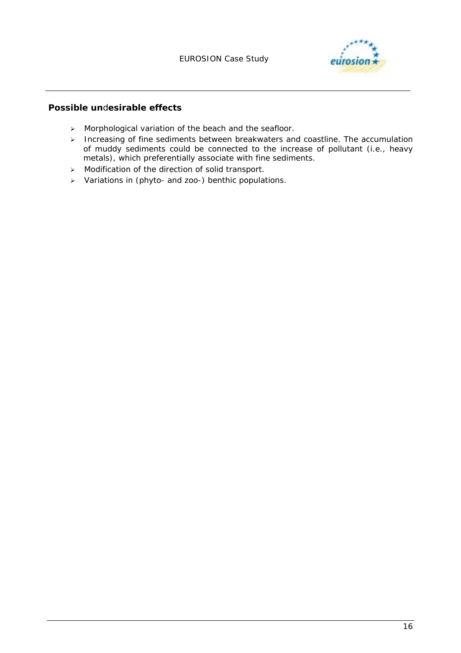

#### **Possible un**d**esirable effects**

- > Morphological variation of the beach and the seafloor.
- $\triangleright$  Increasing of fine sediments between breakwaters and coastline. The accumulation of muddy sediments could be connected to the increase of pollutant (i.e., heavy metals), which preferentially associate with fine sediments.
- $\triangleright$  Modification of the direction of solid transport.
- > Variations in (phyto- and zoo-) benthic populations.